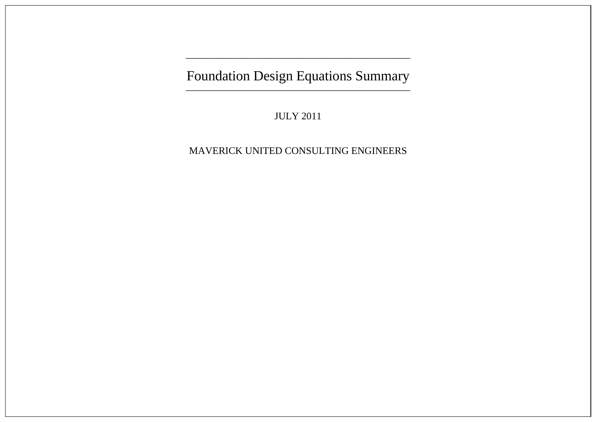**\_\_\_\_\_\_\_\_\_\_\_\_\_\_\_\_\_\_\_\_\_\_\_\_\_\_\_\_\_\_\_\_\_\_\_\_\_\_\_\_\_\_\_\_\_\_\_\_\_\_\_\_\_\_\_\_\_\_\_\_\_\_\_\_\_**

# Foundation Design Equations Summary

**\_\_\_\_\_\_\_\_\_\_\_\_\_\_\_\_\_\_\_\_\_\_\_\_\_\_\_\_\_\_\_\_\_\_\_\_\_\_\_\_\_\_\_\_\_\_\_\_\_\_\_\_\_\_\_\_\_\_\_\_\_\_\_\_\_**

JULY 2011

## MAVERICK UNITED CONSULTING ENGINEERS

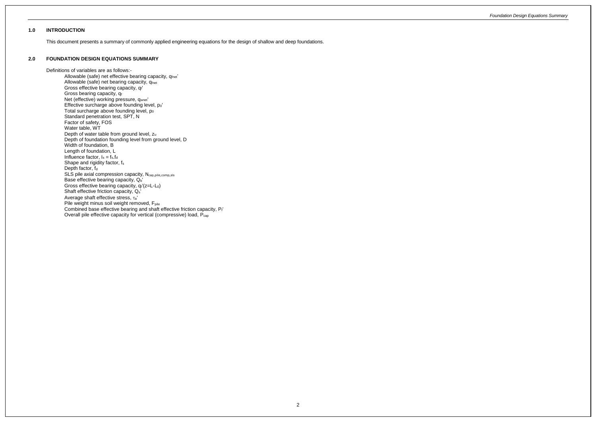*Foundation Design Equations Summary*

### **1.0 INTRODUCTION**

Definitions of variables are as follows:- Allowable (safe) net effective bearing capacity, qfnet' Allowable (safe) net bearing capacity, qfnet Gross effective bearing capacity, q<sub>t</sub>' Gross bearing capacity,  $q_f$ Net (effective) working pressure, qwnet' Effective surcharge above founding level, po' Total surcharge above founding level,  $p_0$ Standard penetration test, SPT, N Factor of safety, FOS Water table, WT Depth of water table from ground level, z<sup>u</sup> Depth of foundation founding level from ground level, D Width of foundation, B Length of foundation, L Influence factor,  $I_s = f_s.f_d$ Shape and rigidity factor, fs Depth factor,  $f_d$ SLS pile axial compression capacity, N<sub>cap,pile,comp,sls</sub> Base effective bearing capacity,  $Q_b'$ Gross effective bearing capacity,  $q_f$ '(z=L-L<sub>0</sub>) Shaft effective friction capacity, Qs' Average shaft effective stress,  $\tau$ a' Pile weight minus soil weight removed, Fpile Combined base effective bearing and shaft effective friction capacity, Pf' Overall pile effective capacity for vertical (compressive) load,  $P_{cap}$ 

This document presents a summary of commonly applied engineering equations for the design of shallow and deep foundations.

#### **2.0 FOUNDATION DESIGN EQUATIONS SUMMARY**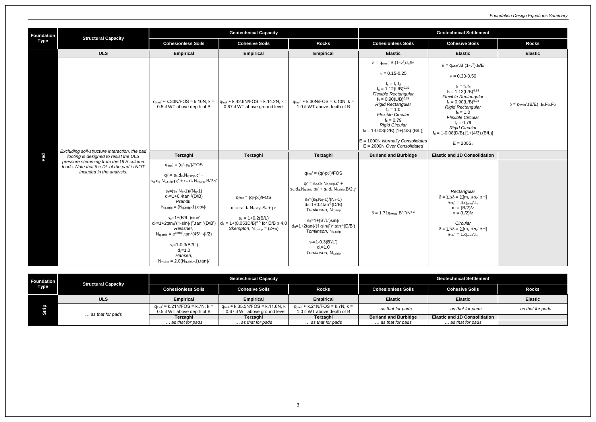*Foundation Design Equations Summary*

| <b>Foundation</b><br><b>Type</b> | <b>Structural Capacity</b>                                                                                                                                                                                | <b>Geotechnical Capacity</b>                                                                                                                                                                                                                                                                                                                                                                                                                                                                                                                    |                                                                                                                                                                                                                                                                       |                                                                                                                                                                                                                                                                                                                                                                                                                                                                                                                                                                                      | <b>Geotechnical Settlement</b>                                                                                                                                                                                                                                                                                                                                                                                  |                                                                                                                                                                                                                                                                                                                                                           |                                                                         |  |
|----------------------------------|-----------------------------------------------------------------------------------------------------------------------------------------------------------------------------------------------------------|-------------------------------------------------------------------------------------------------------------------------------------------------------------------------------------------------------------------------------------------------------------------------------------------------------------------------------------------------------------------------------------------------------------------------------------------------------------------------------------------------------------------------------------------------|-----------------------------------------------------------------------------------------------------------------------------------------------------------------------------------------------------------------------------------------------------------------------|--------------------------------------------------------------------------------------------------------------------------------------------------------------------------------------------------------------------------------------------------------------------------------------------------------------------------------------------------------------------------------------------------------------------------------------------------------------------------------------------------------------------------------------------------------------------------------------|-----------------------------------------------------------------------------------------------------------------------------------------------------------------------------------------------------------------------------------------------------------------------------------------------------------------------------------------------------------------------------------------------------------------|-----------------------------------------------------------------------------------------------------------------------------------------------------------------------------------------------------------------------------------------------------------------------------------------------------------------------------------------------------------|-------------------------------------------------------------------------|--|
|                                  |                                                                                                                                                                                                           | <b>Cohesionless Soils</b>                                                                                                                                                                                                                                                                                                                                                                                                                                                                                                                       | <b>Cohesive Soils</b>                                                                                                                                                                                                                                                 | <b>Rocks</b>                                                                                                                                                                                                                                                                                                                                                                                                                                                                                                                                                                         | <b>Cohesionless Soils</b>                                                                                                                                                                                                                                                                                                                                                                                       | <b>Cohesive Soils</b>                                                                                                                                                                                                                                                                                                                                     | <b>Rocks</b>                                                            |  |
|                                  | <b>ULS</b>                                                                                                                                                                                                | <b>Empirical</b>                                                                                                                                                                                                                                                                                                                                                                                                                                                                                                                                | <b>Empirical</b>                                                                                                                                                                                                                                                      | <b>Empirical</b>                                                                                                                                                                                                                                                                                                                                                                                                                                                                                                                                                                     | <b>Elastic</b>                                                                                                                                                                                                                                                                                                                                                                                                  | <b>Elastic</b>                                                                                                                                                                                                                                                                                                                                            | <b>Elastic</b>                                                          |  |
|                                  | Excluding soil-structure interaction, the pad<br>footing is designed to resist the ULS<br>pressure stemming from the ULS column<br>loads. Note that the DL of the pad is NOT<br>included in the analysis. | $q_{\text{fnet}}$ ' $\approx$ k.30N/FOS = k.10N, k =<br>0.5 if WT above depth of B                                                                                                                                                                                                                                                                                                                                                                                                                                                              | $q_{\text{fnet}} \approx k.42.6 N/FOS = k.14.2 N, k =$<br>0.67 if WT above ground level                                                                                                                                                                               | $q_{\text{fnet}}$ ' $\approx$ k.30N/FOS = k.10N, k =<br>1.0 if WT above depth of B                                                                                                                                                                                                                                                                                                                                                                                                                                                                                                   | $\delta$ = q <sub>wnet</sub> '.B.(1- $v^2$ ).ls/E<br>$v = 0.15 - 0.25$<br>$I_s = f_s.f_d$<br>$f_s = 1.12(L/B)^{0.39}$<br>Flexible Rectangular<br>$f_s = 0.90(L/B)^{0.38}$<br>Rigid Rectangular<br>$f_s = 1.0$<br><b>Flexible Circular</b><br>$f_s = 0.79$<br><b>Rigid Circular</b><br>$f_d = 1 - 0.08(D/B) \cdot [1 + (4/3) \cdot (B/L)]$<br>$E = 1000N$ Normally Consolidated<br>$E = 2000N$ Over Consolidated | $\delta$ = q <sub>wnet</sub> '.B.(1- $v^2$ ).ls/E<br>$v = 0.30 - 0.50$<br>$I_s = f_s.f_d$<br>$f_s = 1.12(L/B)^{0.39}$<br>Flexible Rectangular<br>$f_s = 0.90(L/B)^{0.38}$<br><b>Rigid Rectangular</b><br>$f_s = 1.0$<br>Flexible Circular<br>$f_s = 0.79$<br><b>Rigid Circular</b><br>$f_d = 1 - 0.08(D/B) \cdot [1 + (4/3) \cdot (B/L)]$<br>$E = 200S_u$ | $\delta$ = $q_{\text{wnet}}$ '.(B/E) .lp.F <sub>B</sub> .F <sub>D</sub> |  |
| Pad                              |                                                                                                                                                                                                           | Terzaghi                                                                                                                                                                                                                                                                                                                                                                                                                                                                                                                                        | Terzaghi                                                                                                                                                                                                                                                              | Terzaghi                                                                                                                                                                                                                                                                                                                                                                                                                                                                                                                                                                             | <b>Burland and Burbidge</b>                                                                                                                                                                                                                                                                                                                                                                                     | <b>Elastic and 1D Consolidation</b>                                                                                                                                                                                                                                                                                                                       |                                                                         |  |
|                                  |                                                                                                                                                                                                           | $q_{\text{fnet}}' = (q_f - p_0) / FOS$<br>$q_f' = s_c.d_c.N_{c, strip}.c' +$<br>$S_q.d_q.N_{q, strip}.p_0' + S_{\gamma}.d_{\gamma}.N_{\gamma, strip}.B/2.\gamma'$<br>$s_c = (s_q. N_q - 1)/(N_q - 1)$<br>$d_c=1+0.4\tan^{-1}(D/B)$<br>Prandtl,<br>$N_{c, strip} = (N_{q, strip} - 1).cot\phi'$<br>$s_q=1+(B'/L')sin\phi'$<br>Reissner,<br>$N_{q,\text{strip}} = e^{\pi \tan \phi} \cdot \tan^2(45^\circ + \phi^2/2)$<br>$s_{\gamma} = 1 - 0.3(B'/L')$<br>$d_{\gamma} = 1.0$<br>Hansen,<br>$N_{\gamma, strip} = 2.0(N_{q, strip} - 1).tan \phi'$ | $q_{\text{fnet}} = (q_f - p_0) / FOS$<br>$q_f = s_c.d_c.N_{c, strip}.S_u + p_0$<br>$s_c = 1 + 0.2(B/L)$<br>$d_q = 1 + 2 \tan \phi'(1 - \sin \phi')^2$ .tan <sup>-1</sup> (D/B') $d_c = 1 + (0.053D/B)^{0.5}$ for D/B $\leq 4.0$<br>Skempton, $N_{c, strip} = (2+\pi)$ | $q_{\text{fnet}}' = (q_f - p_0') / FOS$<br>$q_f' = s_c.d_c.N_{c, strip}.c' +$<br>$\vert$ Sq. $d_q$ , N <sub>q, strip</sub> . $p_0'$ + S <sub><math>\gamma</math></sub> , $d_\gamma$ , N <sub><math>\gamma</math>, strip</sub> . B/2. $\gamma$<br>$s_c = (s_q.N_q-1)/(N_q-1)$<br>$d_c = 1 + 0.4 \tan^{-1}(D/B)$<br>Tomlinson, N <sub>c,strip</sub><br>$s_q = 1 + (B'/L') \sin \phi'$<br>$d_q = 1 + 2 \tan \phi' (1 - \sin \phi')^2 \cdot \tan^{-1}(D/B')$<br>Tomlinson, N <sub>q,strip</sub><br>$s_7 = 1 - 0.3(B'/L')$<br>$d_{\gamma} = 1.0$<br>Tomlinson, $N_{\gamma, \text{strip}}$ | $\delta = 1.71$ q <sub>wnet</sub> '. B <sup>0.7</sup> /N <sup>1.4</sup>                                                                                                                                                                                                                                                                                                                                         | Rectangular<br>$\delta = \sum \Delta \delta = \sum [m_v . \Delta \sigma_v'. \Delta H]$<br>$\Delta \sigma_v' = 4.$ qwnet'. I $\sigma$<br>$m = (B/2)/z$<br>$n = (L/2)/z$<br>Circular<br>$\delta = \sum \Delta \delta = \sum [m_v . \Delta \sigma_v'. \Delta H]$<br>$\Delta \sigma_v' = 1$ . qwnet'. $I_{\sigma}$                                            |                                                                         |  |

| <b>Foundation</b><br>Type | <b>Structural Capacity</b> | <b>Geotechnical Capacity</b>                                                   |                                                                                         |                                                                          | <b>Geotechnical Settlement</b> |                                     |                  |
|---------------------------|----------------------------|--------------------------------------------------------------------------------|-----------------------------------------------------------------------------------------|--------------------------------------------------------------------------|--------------------------------|-------------------------------------|------------------|
|                           |                            | <b>Cohesionless Soils</b>                                                      | <b>Cohesive Soils</b>                                                                   | <b>Rocks</b>                                                             | <b>Cohesionless Soils</b>      | <b>Cohesive Soils</b>               | <b>Rocks</b>     |
| Strip                     | <b>ULS</b>                 | <b>Empirical</b>                                                               | <b>Empirical</b>                                                                        | <b>Empirical</b>                                                         | <b>Elastic</b>                 | <b>Elastic</b>                      | <b>Elastic</b>   |
|                           | $\ldots$ as that for pads  | $q_{\text{fnet}}' \approx k.21N/FOS = k.7N, k =$<br>0.5 if WT above depth of B | $q_{\text{fnet}} \approx k.35.5N/FOS = k.11.8N, k$<br>$= 0.67$ if WT above ground level | $q_{\text{fnet}}'$ ≈ k.21N/FOS = k.7N, k =<br>1.0 if WT above depth of B | $\ldots$ as that for pads      | $\ldots$ as that for pads           | as that for pads |
|                           |                            | Terzaghi                                                                       | Terzaghi                                                                                | Terzaghi                                                                 | <b>Burland and Burbidge</b>    | <b>Elastic and 1D Consolidation</b> |                  |
|                           |                            | as that for pads                                                               | as that for pads                                                                        | . as that for pads                                                       | $\ldots$ as that for pads      | $\ldots$ as that for pads           |                  |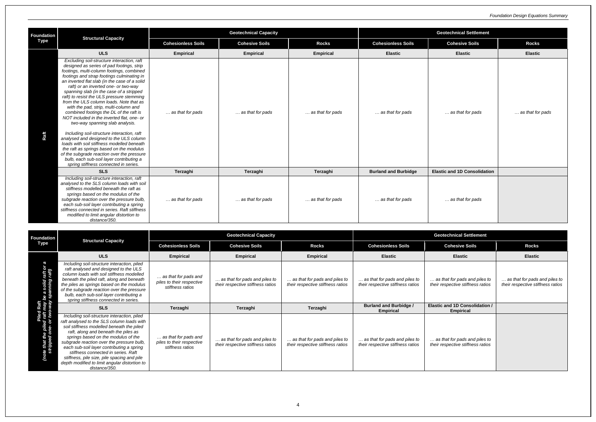| <b>Foundation Design Equations Summary</b> |  |  |
|--------------------------------------------|--|--|
|                                            |  |  |

|                   | <b>Structural Capacity</b>                                                                                                                                                                                                                                                                                                                                                                                                                                                                                                                                                                                                                                                                                                                                                                                                                                                                                 |                              |                       |                  |                                |                                     |                  |  |
|-------------------|------------------------------------------------------------------------------------------------------------------------------------------------------------------------------------------------------------------------------------------------------------------------------------------------------------------------------------------------------------------------------------------------------------------------------------------------------------------------------------------------------------------------------------------------------------------------------------------------------------------------------------------------------------------------------------------------------------------------------------------------------------------------------------------------------------------------------------------------------------------------------------------------------------|------------------------------|-----------------------|------------------|--------------------------------|-------------------------------------|------------------|--|
| <b>Foundation</b> |                                                                                                                                                                                                                                                                                                                                                                                                                                                                                                                                                                                                                                                                                                                                                                                                                                                                                                            | <b>Geotechnical Capacity</b> |                       |                  | <b>Geotechnical Settlement</b> |                                     |                  |  |
| Type              |                                                                                                                                                                                                                                                                                                                                                                                                                                                                                                                                                                                                                                                                                                                                                                                                                                                                                                            | <b>Cohesionless Soils</b>    | <b>Cohesive Soils</b> | <b>Rocks</b>     | <b>Cohesionless Soils</b>      | <b>Cohesive Soils</b>               | <b>Rocks</b>     |  |
|                   | <b>ULS</b>                                                                                                                                                                                                                                                                                                                                                                                                                                                                                                                                                                                                                                                                                                                                                                                                                                                                                                 | <b>Empirical</b>             | <b>Empirical</b>      | <b>Empirical</b> | <b>Elastic</b>                 | <b>Elastic</b>                      | <b>Elastic</b>   |  |
| Raft              | Excluding soil-structure interaction, raft<br>designed as series of pad footings, strip<br>footings, multi-column footings, combined<br>footings and strap footings culminating in<br>an inverted flat slab (in the case of a solid<br>raft) or an inverted one- or two-way<br>spanning slab (in the case of a stripped<br>raft) to resist the ULS pressure stemming<br>from the ULS column loads. Note that as<br>with the pad, strip, multi-column and<br>combined footings the DL of the raft is<br>NOT included in the inverted flat, one- or<br>two-way spanning slab analysis.<br>Including soil-structure interaction, raft<br>analysed and designed to the ULS column<br>loads with soil stiffness modelled beneath<br>the raft as springs based on the modulus<br>of the subgrade reaction over the pressure<br>bulb, each sub-soil layer contributing a<br>spring stiffness connected in series. | $\ldots$ as that for pads    | as that for pads      | as that for pads | as that for pads               | as that for pads                    | as that for pads |  |
|                   | <b>SLS</b>                                                                                                                                                                                                                                                                                                                                                                                                                                                                                                                                                                                                                                                                                                                                                                                                                                                                                                 | Terzaghi                     | Terzaghi              | Terzaghi         | <b>Burland and Burbidge</b>    | <b>Elastic and 1D Consolidation</b> |                  |  |
|                   | Including soil-structure interaction, raft<br>analysed to the SLS column loads with soil<br>stiffness modelled beneath the raft as<br>springs based on the modulus of the<br>subgrade reaction over the pressure bulb,<br>each sub-soil layer contributing a spring<br>stiffness connected in series. Raft stiffness<br>modified to limit angular distortion to<br>distance/350.                                                                                                                                                                                                                                                                                                                                                                                                                                                                                                                           | as that for pads             | as that for pads      | as that for pads | as that for pads               | as that for pads                    |                  |  |

| Foundation<br>Type                                                                                                                                                                                      | <b>Structural Capacity</b>                                                                                                                                                                                                                                                                                                                                                                                                                                              | <b>Geotechnical Capacity</b>                                          |                                                                    |                                                                    | <b>Geotechnical Settlement</b>                                       |                                                                    |                                                                             |
|---------------------------------------------------------------------------------------------------------------------------------------------------------------------------------------------------------|-------------------------------------------------------------------------------------------------------------------------------------------------------------------------------------------------------------------------------------------------------------------------------------------------------------------------------------------------------------------------------------------------------------------------------------------------------------------------|-----------------------------------------------------------------------|--------------------------------------------------------------------|--------------------------------------------------------------------|----------------------------------------------------------------------|--------------------------------------------------------------------|-----------------------------------------------------------------------------|
|                                                                                                                                                                                                         |                                                                                                                                                                                                                                                                                                                                                                                                                                                                         | <b>Cohesionless Soils</b>                                             | <b>Cohesive Soils</b>                                              | <b>Rocks</b>                                                       | <b>Cohesionless Soils</b>                                            | <b>Cohesive Soils</b>                                              | <b>Rocks</b>                                                                |
| raft o <sub>l</sub><br>raft)<br>solid<br>nning<br>$\mathbf{a}$<br>sc.<br>ad<br>Raft<br><i>may l</i><br>>-way<br>iled<br><i>raft</i><br>two<br><b>Pil</b><br>The -euo padd track)<br>The -ord padd track | <b>ULS</b>                                                                                                                                                                                                                                                                                                                                                                                                                                                              | <b>Empirical</b>                                                      | <b>Empirical</b>                                                   | <b>Empirical</b>                                                   | <b>Elastic</b>                                                       | <b>Elastic</b>                                                     | <b>Elastic</b>                                                              |
|                                                                                                                                                                                                         | Including soil-structure interaction, piled<br>raft analysed and designed to the ULS<br>column loads with soil stiffness modelled<br>beneath the piled raft, along and beneath<br>the piles as springs based on the modulus<br>of the subgrade reaction over the pressure<br>bulb, each sub-soil layer contributing a<br>spring stiffness connected in series.                                                                                                          | as that for pads and<br>piles to their respective<br>stiffness ratios | as that for pads and piles to<br>their respective stiffness ratios | as that for pads and piles to<br>their respective stiffness ratios | . as that for pads and piles to<br>their respective stiffness ratios | as that for pads and piles to<br>their respective stiffness ratios | $\ldots$ as that for pads and piles to<br>their respective stiffness ratios |
|                                                                                                                                                                                                         | <b>SLS</b>                                                                                                                                                                                                                                                                                                                                                                                                                                                              | Terzaghi                                                              | Terzaghi                                                           | Terzaghi                                                           | <b>Burland and Burbidge /</b><br><b>Empirical</b>                    | <b>Elastic and 1D Consolidation /</b><br><b>Empirical</b>          |                                                                             |
|                                                                                                                                                                                                         | Including soil-structure interaction, piled<br>raft analysed to the SLS column loads with<br>soil stiffness modelled beneath the piled<br>raft, along and beneath the piles as<br>springs based on the modulus of the<br>subgrade reaction over the pressure bulb,<br>each sub-soil layer contributing a spring<br>stiffness connected in series. Raft<br>stiffness, pile size, pile spacing and pile<br>depth modified to limit angular distortion to<br>distance/350. | as that for pads and<br>piles to their respective<br>stiffness ratios | as that for pads and piles to<br>their respective stiffness ratios | as that for pads and piles to<br>their respective stiffness ratios | as that for pads and piles to<br>their respective stiffness ratios   | as that for pads and piles to<br>their respective stiffness ratios |                                                                             |